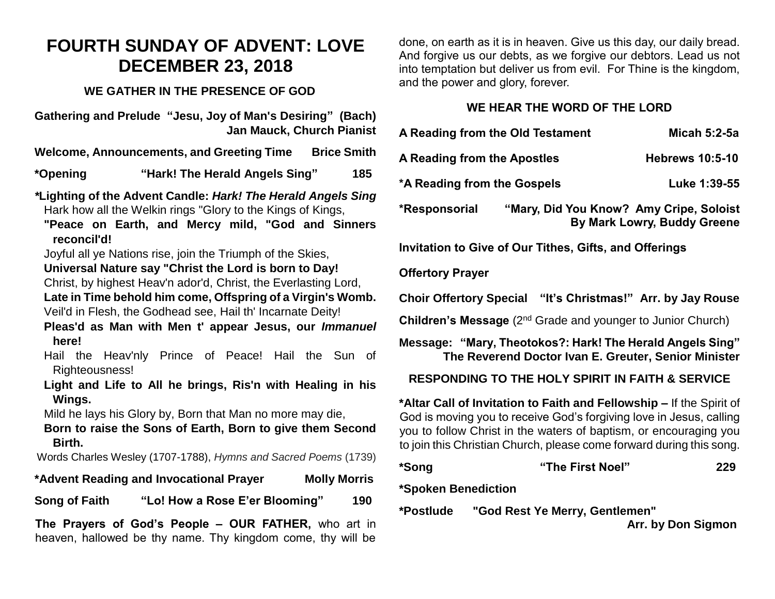### **FOURTH SUNDAY OF ADVENT: LOVE DECEMBER 23, 2018**

#### **WE GATHER IN THE PRESENCE OF GOD**

**Gathering and Prelude "Jesu, Joy of Man's Desiring" (Bach) Jan Mauck, Church Pianist** 

**Welcome, Announcements, and Greeting Time Brice Smith**

**\*Opening "Hark! The Herald Angels Sing" 185**

*\****Lighting of the Advent Candle:** *Hark! The Herald Angels Sing* Hark how all the Welkin rings "Glory to the Kings of Kings,

- **"Peace on Earth, and Mercy mild, "God and Sinners reconcil'd!**
- Joyful all ye Nations rise, join the Triumph of the Skies,
- **Universal Nature say "Christ the Lord is born to Day!**
- Christ, by highest Heav'n ador'd, Christ, the Everlasting Lord,

**Late in Time behold him come, Offspring of a Virgin's Womb.** Veil'd in Flesh, the Godhead see, Hail th' Incarnate Deity!

**Pleas'd as Man with Men t' appear Jesus, our** *Immanuel* **here!**

Hail the Heav'nly Prince of Peace! Hail the Sun of Righteousness!

**Light and Life to All he brings, Ris'n with Healing in his Wings.**

Mild he lays his Glory by, Born that Man no more may die,

**Born to raise the Sons of Earth, Born to give them Second Birth.**

Words Charles Wesley (1707-1788), *Hymns and Sacred Poems* (1739)

**\*Advent Reading and Invocational Prayer Molly Morris**

**Song of Faith "Lo! How a Rose E'er Blooming" 190**

**The Prayers of God's People – OUR FATHER,** who art in heaven, hallowed be thy name. Thy kingdom come, thy will be

done, on earth as it is in heaven. Give us this day, our daily bread. And forgive us our debts, as we forgive our debtors. Lead us not into temptation but deliver us from evil. For Thine is the kingdom, and the power and glory, forever.

#### **WE HEAR THE WORD OF THE LORD**

| A Reading from the Old Testament                       |                                         | Micah 5:2-5a                |  |
|--------------------------------------------------------|-----------------------------------------|-----------------------------|--|
| A Reading from the Apostles                            |                                         | <b>Hebrews 10:5-10</b>      |  |
| *A Reading from the Gospels                            |                                         | Luke 1:39-55                |  |
| *Responsorial                                          | "Mary, Did You Know? Amy Cripe, Soloist | By Mark Lowry, Buddy Greene |  |
| Invitation to Give of Our Tithes, Gifts, and Offerings |                                         |                             |  |

#### **Offertory Prayer**

**Choir Offertory Special "It's Christmas!" Arr. by Jay Rouse**

**Children's Message** (2<sup>nd</sup> Grade and younger to Junior Church)

**Message: "Mary, Theotokos?: Hark! The Herald Angels Sing" The Reverend Doctor Ivan E. Greuter, Senior Minister**

#### **RESPONDING TO THE HOLY SPIRIT IN FAITH & SERVICE**

**\*Altar Call of Invitation to Faith and Fellowship –** If the Spirit of God is moving you to receive God's forgiving love in Jesus, calling you to follow Christ in the waters of baptism, or encouraging you to join this Christian Church, please come forward during this song.

| *Song | "The First Noel" | 229 |
|-------|------------------|-----|
|       |                  |     |

**\*Spoken Benediction**

**\*Postlude "God Rest Ye Merry, Gentlemen"** 

 **Arr. by Don Sigmon**